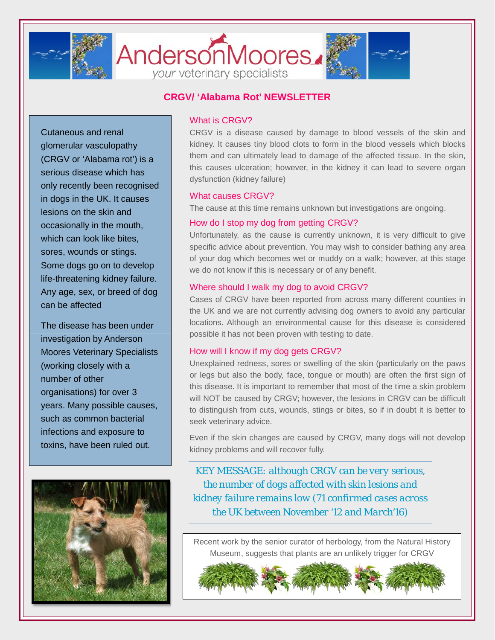

# AndersonMoores. your veterinary specialists



# **CRGV/ 'Alabama Rot' NEWSLETTER**

Cutaneous and renal glomerular vasculopathy (CRGV or 'Alabama rot') is a serious disease which has only recently been recognised in dogs in the UK. It causes lesions on the skin and occasionally in the mouth, which can look like bites, sores, wounds or stings. Some dogs go on to develop life-threatening kidney failure. Any age, sex, or breed of dog can be affected

The disease has been under investigation by Anderson Moores Veterinary Specialists (working closely with a number of other organisations) for over 3 years. Many possible causes, such as common bacterial infections and exposure to toxins, have been ruled out.



# What is CRGV?

CRGV is a disease caused by damage to blood vessels of the skin and kidney. It causes tiny blood clots to form in the blood vessels which blocks them and can ultimately lead to damage of the affected tissue. In the skin, this causes ulceration; however, in the kidney it can lead to severe organ dysfunction (kidney failure)

## What causes CRGV?

The cause at this time remains unknown but investigations are ongoing.

# How do I stop my dog from getting CRGV?

Unfortunately, as the cause is currently unknown, it is very difficult to give specific advice about prevention. You may wish to consider bathing any area of your dog which becomes wet or muddy on a walk; however, at this stage we do not know if this is necessary or of any benefit.

## Where should I walk my dog to avoid CRGV?

Cases of CRGV have been reported from across many different counties in the UK and we are not currently advising dog owners to avoid any particular locations. Although an environmental cause for this disease is considered possible it has not been proven with testing to date.

#### How will I know if my dog gets CRGV?

Unexplained redness, sores or swelling of the skin (particularly on the paws or legs but also the body, face, tongue or mouth) are often the first sign of this disease. It is important to remember that most of the time a skin problem will NOT be caused by CRGV; however, the lesions in CRGV can be difficult to distinguish from cuts, wounds, stings or bites, so if in doubt it is better to seek veterinary advice.

Even if the skin changes are caused by CRGV, many dogs will not develop kidney problems and will recover fully.

*KEY MESSAGE: although CRGV can be very serious, the number of dogs affected with skin lesions and kidney failure remains low (71 confirmed cases across the UK between November '12 and March'16)*

Recent work by the senior curator of herbology, from the Natural History Museum, suggests that plants are an unlikely trigger for CRGV